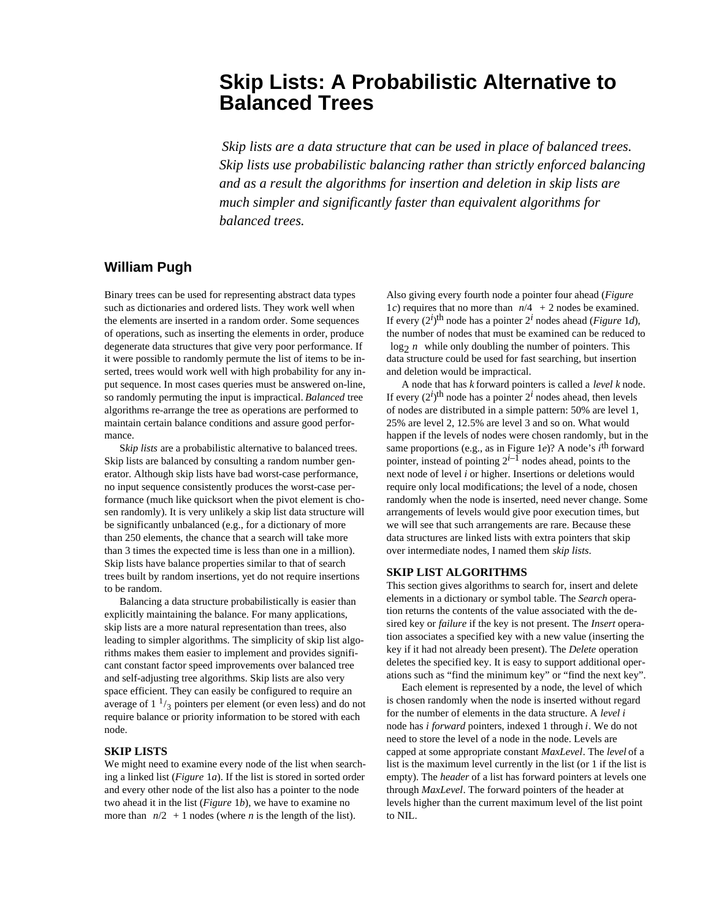# **Skip Lists: A Probabilistic Alternative to Balanced Trees**

*Skip lists are a data structure that can be used in place of balanced trees. Skip lists use probabilistic balancing rather than strictly enforced balancing and as a result the algorithms for insertion and deletion in skip lists are much simpler and significantly faster than equivalent algorithms for balanced trees.*

# **William Pugh**

Binary trees can be used for representing abstract data types such as dictionaries and ordered lists. They work well when the elements are inserted in a random order. Some sequences of operations, such as inserting the elements in order, produce degenerate data structures that give very poor performance. If it were possible to randomly permute the list of items to be inserted, trees would work well with high probability for any input sequence. In most cases queries must be answered on-line, so randomly permuting the input is impractical. *Balanced* tree algorithms re-arrange the tree as operations are performed to maintain certain balance conditions and assure good performance.

S*kip lists* are a probabilistic alternative to balanced trees. Skip lists are balanced by consulting a random number generator. Although skip lists have bad worst-case performance, no input sequence consistently produces the worst-case performance (much like quicksort when the pivot element is chosen randomly). It is very unlikely a skip list data structure will be significantly unbalanced (e.g., for a dictionary of more than 250 elements, the chance that a search will take more than 3 times the expected time is less than one in a million). Skip lists have balance properties similar to that of search trees built by random insertions, yet do not require insertions to be random.

Balancing a data structure probabilistically is easier than explicitly maintaining the balance. For many applications, skip lists are a more natural representation than trees, also leading to simpler algorithms. The simplicity of skip list algorithms makes them easier to implement and provides significant constant factor speed improvements over balanced tree and self-adjusting tree algorithms. Skip lists are also very space efficient. They can easily be configured to require an average of  $1 \frac{1}{3}$  pointers per element (or even less) and do not require balance or priority information to be stored with each node.

### **SKIP LISTS**

We might need to examine every node of the list when searching a linked list (*Figure* 1*a*). If the list is stored in sorted order and every other node of the list also has a pointer to the node two ahead it in the list (*Figure* 1*b*), we have to examine no more than  $\lceil n/2 \rceil$  + 1 nodes (where *n* is the length of the list).

Also giving every fourth node a pointer four ahead (*Figure* 1*c*) requires that no more than  $\lceil n/4 \rceil + 2$  nodes be examined. If every  $(2^i)$ <sup>th</sup> node has a pointer  $2^i$  nodes ahead (*Figure 1d*), the number of nodes that must be examined can be reduced to  $\lceil \log_2 n \rceil$  while only doubling the number of pointers. This data structure could be used for fast searching, but insertion and deletion would be impractical.

A node that has *k* forward pointers is called a *level k* node. If every  $(2^i)$ <sup>th</sup> node has a pointer  $2^i$  nodes ahead, then levels of nodes are distributed in a simple pattern: 50% are level 1, 25% are level 2, 12.5% are level 3 and so on. What would happen if the levels of nodes were chosen randomly, but in the same proportions (e.g., as in Figure 1e)? A node's *i*<sup>th</sup> forward pointer, instead of pointing  $2^{i-1}$  nodes ahead, points to the next node of level *i* or higher. Insertions or deletions would require only local modifications; the level of a node, chosen randomly when the node is inserted, need never change. Some arrangements of levels would give poor execution times, but we will see that such arrangements are rare. Because these data structures are linked lists with extra pointers that skip over intermediate nodes, I named them *skip lists*.

### **SKIP LIST ALGORITHMS**

This section gives algorithms to search for, insert and delete elements in a dictionary or symbol table. The *Search* operation returns the contents of the value associated with the desired key or *failure* if the key is not present. The *Insert* operation associates a specified key with a new value (inserting the key if it had not already been present). The *Delete* operation deletes the specified key. It is easy to support additional operations such as "find the minimum key" or "find the next key".

Each element is represented by a node, the level of which is chosen randomly when the node is inserted without regard for the number of elements in the data structure. A *level i* node has *i forward* pointers, indexed 1 through *i*. We do not need to store the level of a node in the node. Levels are capped at some appropriate constant *MaxLevel*. The *level* of a list is the maximum level currently in the list (or 1 if the list is empty). The *header* of a list has forward pointers at levels one through *MaxLevel*. The forward pointers of the header at levels higher than the current maximum level of the list point to NIL.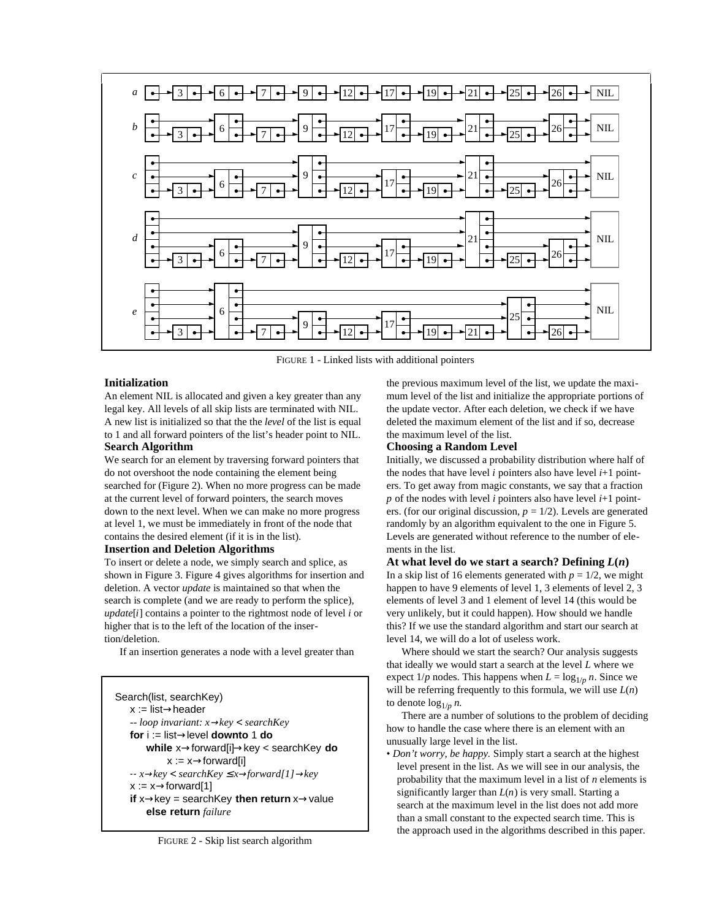

FIGURE 1 - Linked lists with additional pointers

### **Initialization**

An element NIL is allocated and given a key greater than any legal key. All levels of all skip lists are terminated with NIL. A new list is initialized so that the the *level* of the list is equal to 1 and all forward pointers of the list's header point to NIL. **Search Algorithm**

We search for an element by traversing forward pointers that do not overshoot the node containing the element being searched for (Figure 2). When no more progress can be made at the current level of forward pointers, the search moves down to the next level. When we can make no more progress at level 1, we must be immediately in front of the node that contains the desired element (if it is in the list).

#### **Insertion and Deletion Algorithms**

To insert or delete a node, we simply search and splice, as shown in Figure 3. Figure 4 gives algorithms for insertion and deletion. A vector *update* is maintained so that when the search is complete (and we are ready to perform the splice), *update*[*i*] contains a pointer to the rightmost node of level *i* or higher that is to the left of the location of the insertion/deletion.

If an insertion generates a node with a level greater than

```
Search(list, searchKey)
  x := list→header
   -- loop invariant: x→key < searchKey
   for i := list→level downto 1 do
      while x→forward[i]→key < searchKey do
           x := x \rightarrowforward[i]
   -- x→key < searchKey ≤ x→forward[1]→key
   x := x \rightarrowforward[1]
   if x→key = searchKey then return x→value
      else return failure
```
FIGURE 2 - Skip list search algorithm

the previous maximum level of the list, we update the maximum level of the list and initialize the appropriate portions of the update vector. After each deletion, we check if we have deleted the maximum element of the list and if so, decrease the maximum level of the list.

#### **Choosing a Random Level**

Initially, we discussed a probability distribution where half of the nodes that have level *i* pointers also have level *i*+1 pointers. To get away from magic constants, we say that a fraction  $p$  of the nodes with level  $i$  pointers also have level  $i+1$  pointers. (for our original discussion,  $p = 1/2$ ). Levels are generated randomly by an algorithm equivalent to the one in Figure 5. Levels are generated without reference to the number of elements in the list.

#### At what level do we start a search? Defining  $L(n)$

In a skip list of 16 elements generated with  $p = 1/2$ , we might happen to have 9 elements of level 1, 3 elements of level 2, 3 elements of level 3 and 1 element of level 14 (this would be very unlikely, but it could happen). How should we handle this? If we use the standard algorithm and start our search at level 14, we will do a lot of useless work.

Where should we start the search? Our analysis suggests that ideally we would start a search at the level *L* where we expect  $1/p$  nodes. This happens when  $L = \log_{1/p} n$ . Since we will be referring frequently to this formula, we will use  $L(n)$ to denote  $\log_{1/p} n$ .

There are a number of solutions to the problem of deciding how to handle the case where there is an element with an unusually large level in the list.

• *Don't worry, be happy.* Simply start a search at the highest level present in the list. As we will see in our analysis, the probability that the maximum level in a list of *n* elements is significantly larger than  $L(n)$  is very small. Starting a search at the maximum level in the list does not add more than a small constant to the expected search time. This is the approach used in the algorithms described in this paper.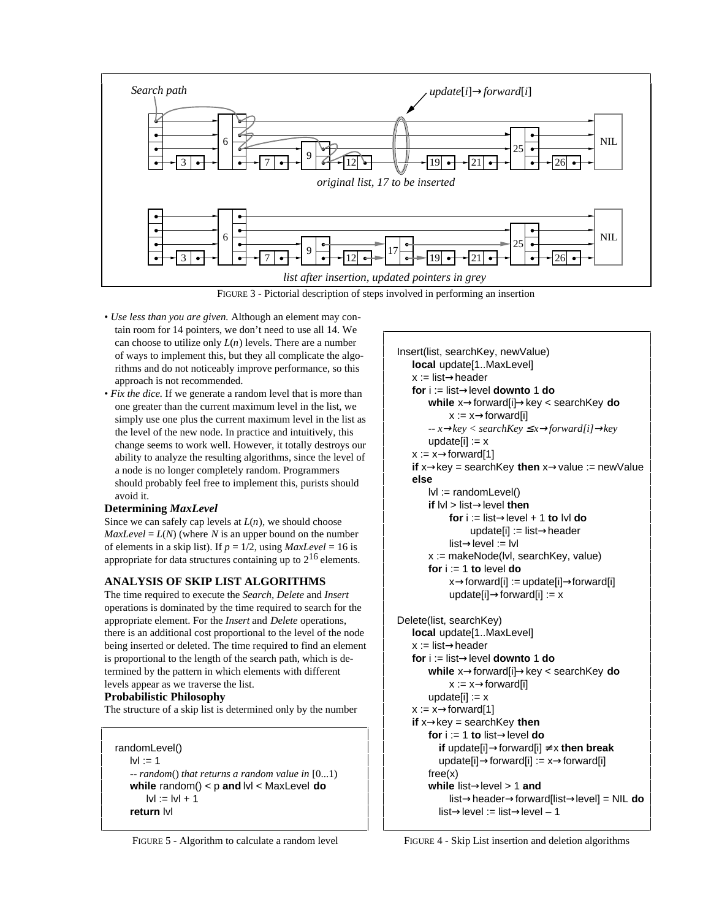

FIGURE 3 - Pictorial description of steps involved in performing an insertion

- *Use less than you are given.* Although an element may contain room for 14 pointers, we don't need to use all 14. We can choose to utilize only  $L(n)$  levels. There are a number of ways to implement this, but they all complicate the algorithms and do not noticeably improve performance, so this approach is not recommended.
- *Fix the dice.* If we generate a random level that is more than one greater than the current maximum level in the list, we simply use one plus the current maximum level in the list as the level of the new node. In practice and intuitively, this change seems to work well. However, it totally destroys our ability to analyze the resulting algorithms, since the level of a node is no longer completely random. Programmers should probably feel free to implement this, purists should avoid it.

# **Determining** *MaxLevel*

Since we can safely cap levels at *L*(*n*), we should choose  $MaxLevel = L(N)$  (where *N* is an upper bound on the number of elements in a skip list). If  $p = 1/2$ , using *MaxLevel* = 16 is appropriate for data structures containing up to  $2^{16}$  elements.

# **ANALYSIS OF SKIP LIST ALGORITHMS**

The time required to execute the *Search, Delete* and *Insert* operations is dominated by the time required to search for the appropriate element. For the *Insert* and *Delete* operations, there is an additional cost proportional to the level of the node being inserted or deleted. The time required to find an element is proportional to the length of the search path, which is determined by the pattern in which elements with different levels appear as we traverse the list.

# **Probabilistic Philosophy**

The structure of a skip list is determined only by the number

randomLevel()  $\mathsf{I} \mathsf{v}$  := 1 *-- random*() *that returns a random value in* [0...1) **while** random() < p **and** lvl < MaxLevel **do**  $\text{lvl} := \text{lvl} + 1$ **return** lvl



```
Insert(list, searchKey, newValue)
   local update[1..MaxLevel]
   x := list→header
   for i := list→level downto 1 do
       while x→forward[i]→key < searchKey do
            x := x \rightarrowforward[i]
       -- x→key < searchKey ≤ x→forward[i]→key
       update[i] := xx := x \rightarrowforward[1]
   if x→key = searchKey then x→value := newValue
   else
       lvl := randomLevel()
       if lvl > list→level then
            for i := list\rightarrow level + 1 to \text{I} \text{V} \text{I} do
                 update[i] := list→header
            list→level := lvl
       x := makeNode(lvl, searchKey, value)
       for i := 1 to level do
            x→forward[i] := update[i]→forward[i]
            update[i]\rightarrowforward[i] := x
Delete(list, searchKey)
   local update[1..MaxLevel]
   x := list→header
   for i := list→level downto 1 do
       while x→forward[i]→key < searchKey do
            x := x \rightarrowforward[i]
       update[i] := xx := x \rightarrowforward[1]
   if x→key = searchKey then
       for i := 1 to list→level do
         if update[i]→forward[i] ≠ x then break
          update[i]→forward[i] := x→forward[i]
       free(x)
       while list→level > 1 and
            list→header→forward[list→level] = NIL do
         list→level := list→level – 1
```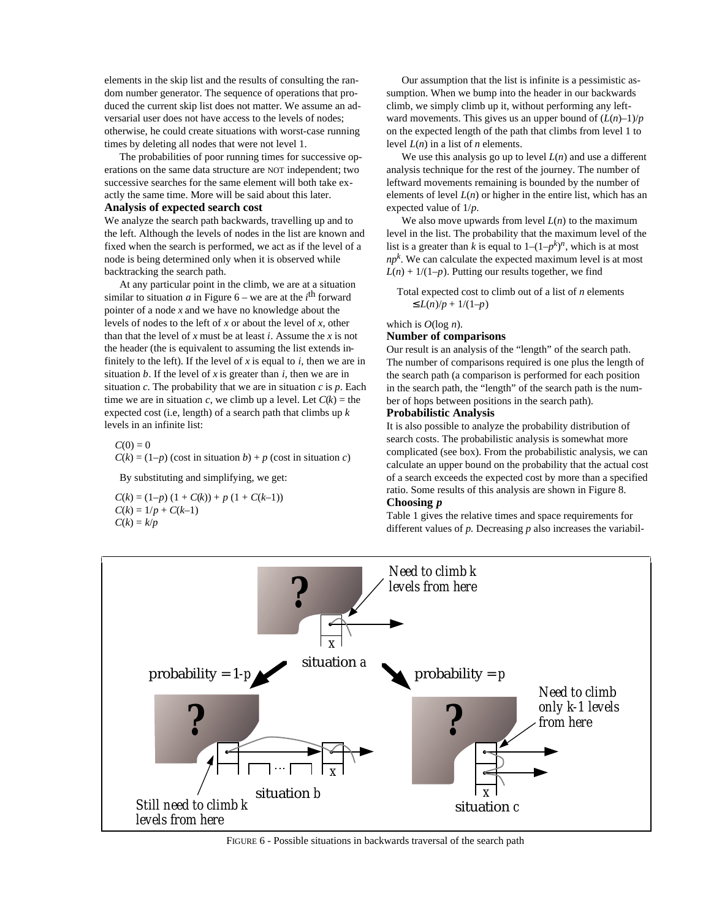elements in the skip list and the results of consulting the random number generator. The sequence of operations that produced the current skip list does not matter. We assume an adversarial user does not have access to the levels of nodes; otherwise, he could create situations with worst-case running times by deleting all nodes that were not level 1.

The probabilities of poor running times for successive operations on the same data structure are NOT independent; two successive searches for the same element will both take exactly the same time. More will be said about this later.

#### **Analysis of expected search cost**

We analyze the search path backwards, travelling up and to the left. Although the levels of nodes in the list are known and fixed when the search is performed, we act as if the level of a node is being determined only when it is observed while backtracking the search path.

At any particular point in the climb, we are at a situation similar to situation  $a$  in Figure  $6$  – we are at the  $i<sup>th</sup>$  forward pointer of a node *x* and we have no knowledge about the levels of nodes to the left of *x* or about the level of *x*, other than that the level of  $x$  must be at least  $i$ . Assume the  $x$  is not the header (the is equivalent to assuming the list extends infinitely to the left). If the level of  $x$  is equal to  $i$ , then we are in situation *b*. If the level of *x* is greater than *i*, then we are in situation  $c$ . The probability that we are in situation  $c$  is  $p$ . Each time we are in situation *c*, we climb up a level. Let  $C(k)$  = the expected cost (i.e, length) of a search path that climbs up *k* levels in an infinite list:

 $C(0) = 0$ 

 $C(k) = (1-p)$  (cost in situation *b*) + *p* (cost in situation *c*)

By substituting and simplifying, we get:

$$
C(k) = (1-p) (1 + C(k)) + p (1 + C(k-1))
$$
  
\n
$$
C(k) = 1/p + C(k-1)
$$
  
\n
$$
C(k) = k/p
$$

Our assumption that the list is infinite is a pessimistic assumption. When we bump into the header in our backwards climb, we simply climb up it, without performing any leftward movements. This gives us an upper bound of  $(L(n)-1)/p$ on the expected length of the path that climbs from level 1 to level *L*(*n*) in a list of *n* elements.

We use this analysis go up to level  $L(n)$  and use a different analysis technique for the rest of the journey. The number of leftward movements remaining is bounded by the number of elements of level  $L(n)$  or higher in the entire list, which has an expected value of 1/*p*.

We also move upwards from level  $L(n)$  to the maximum level in the list. The probability that the maximum level of the list is a greater than *k* is equal to  $1-(1-p^k)^n$ , which is at most  $np^k$ . We can calculate the expected maximum level is at most  $L(n) + 1/(1-p)$ . Putting our results together, we find

Total expected cost to climb out of a list of *n* elements ≤ *L*(*n*)/*p* + 1/(1–*p*)

#### which is  $O(\log n)$ .

#### **Number of comparisons**

Our result is an analysis of the "length" of the search path. The number of comparisons required is one plus the length of the search path (a comparison is performed for each position in the search path, the "length" of the search path is the number of hops between positions in the search path).

#### **Probabilistic Analysis**

It is also possible to analyze the probability distribution of search costs. The probabilistic analysis is somewhat more complicated (see box). From the probabilistic analysis, we can calculate an upper bound on the probability that the actual cost of a search exceeds the expected cost by more than a specified ratio. Some results of this analysis are shown in Figure 8. **Choosing** *p*

Table 1 gives the relative times and space requirements for different values of *p.* Decreasing *p* also increases the variabil-



FIGURE 6 - Possible situations in backwards traversal of the search path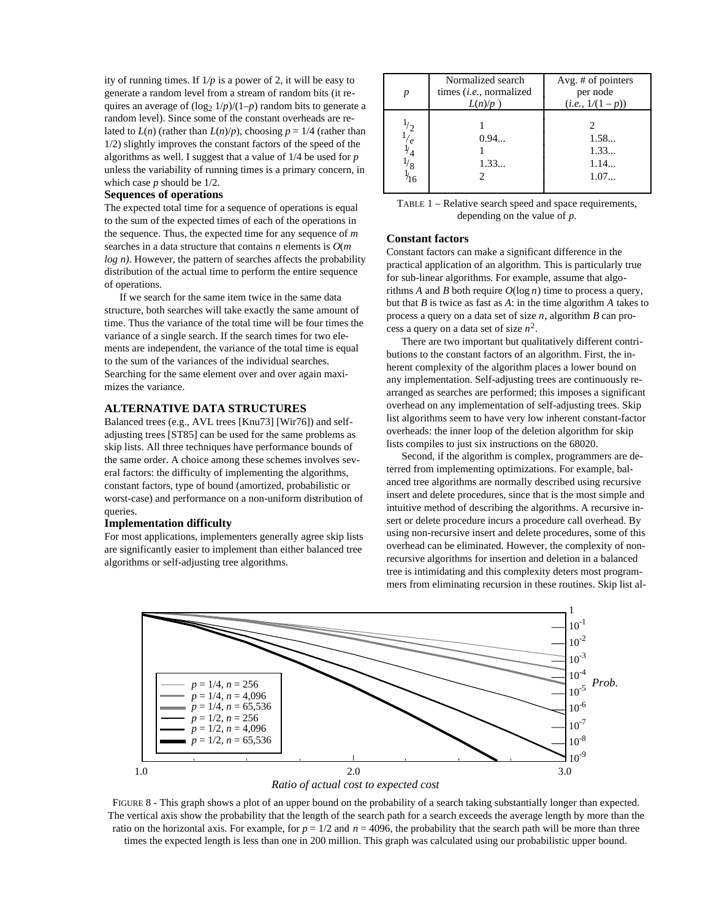ity of running times. If 1*/p* is a power of 2, it will be easy to generate a random level from a stream of random bits (it requires an average of  $(\log_2 1/p)/(1-p)$  random bits to generate a random level). Since some of the constant overheads are related to  $L(n)$  (rather than  $L(n)/p$ ), choosing  $p = 1/4$  (rather than 1/2) slightly improves the constant factors of the speed of the algorithms as well. I suggest that a value of 1/4 be used for *p* unless the variability of running times is a primary concern, in which case *p* should be 1/2.

#### **Sequences of operations**

The expected total time for a sequence of operations is equal to the sum of the expected times of each of the operations in the sequence. Thus, the expected time for any sequence of *m* searches in a data structure that contains *n* elements is *O*(*m log n)*. However, the pattern of searches affects the probability distribution of the actual time to perform the entire sequence of operations.

If we search for the same item twice in the same data structure, both searches will take exactly the same amount of time. Thus the variance of the total time will be four times the variance of a single search. If the search times for two elements are independent, the variance of the total time is equal to the sum of the variances of the individual searches. Searching for the same element over and over again maximizes the variance.

#### **ALTERNATIVE DATA STRUCTURES**

Balanced trees (e.g., AVL trees [Knu73] [Wir76]) and selfadjusting trees [ST85] can be used for the same problems as skip lists. All three techniques have performance bounds of the same order. A choice among these schemes involves several factors: the difficulty of implementing the algorithms, constant factors, type of bound (amortized, probabilistic or worst-case) and performance on a non-uniform distribution of queries.

#### **Implementation difficulty**

For most applications, implementers generally agree skip lists are significantly easier to implement than either balanced tree algorithms or self-adjusting tree algorithms.

|                                                                              | Normalized search<br>times $(i.e.,$ normalized<br>$L(n)/p$ ) | Avg. # of pointers<br>per node<br>$(i.e., 1/(1-p))$ |
|------------------------------------------------------------------------------|--------------------------------------------------------------|-----------------------------------------------------|
| $\frac{1}{2}$<br>$\overline{\mathcal{Y}}_4$<br>$\frac{1}{2}$ / <sub>16</sub> | 0.94<br>1.33                                                 | 1.58<br>1.33<br>1.14<br>1.07                        |

TABLE 1 – Relative search speed and space requirements, depending on the value of *p.*

#### **Constant factors**

Constant factors can make a significant difference in the practical application of an algorithm. This is particularly true for sub-linear algorithms. For example, assume that algorithms *A* and *B* both require *O*(log *n*) time to process a query, but that *B* is twice as fast as *A*: in the time algorithm *A* takes to process a query on a data set of size *n*, algorithm *B* can process a query on a data set of size *n*2.

There are two important but qualitatively different contributions to the constant factors of an algorithm. First, the inherent complexity of the algorithm places a lower bound on any implementation. Self-adjusting trees are continuously rearranged as searches are performed; this imposes a significant overhead on any implementation of self-adjusting trees. Skip list algorithms seem to have very low inherent constant-factor overheads: the inner loop of the deletion algorithm for skip lists compiles to just six instructions on the 68020.

Second, if the algorithm is complex, programmers are deterred from implementing optimizations. For example, balanced tree algorithms are normally described using recursive insert and delete procedures, since that is the most simple and intuitive method of describing the algorithms. A recursive insert or delete procedure incurs a procedure call overhead. By using non-recursive insert and delete procedures, some of this overhead can be eliminated. However, the complexity of nonrecursive algorithms for insertion and deletion in a balanced tree is intimidating and this complexity deters most programmers from eliminating recursion in these routines. Skip list al-



*Ratio of actual cost to expected cost*

FIGURE 8 - This graph shows a plot of an upper bound on the probability of a search taking substantially longer than expected. The vertical axis show the probability that the length of the search path for a search exceeds the average length by more than the ratio on the horizontal axis. For example, for  $p = 1/2$  and  $n = 4096$ , the probability that the search path will be more than three times the expected length is less than one in 200 million. This graph was calculated using our probabilistic upper bound.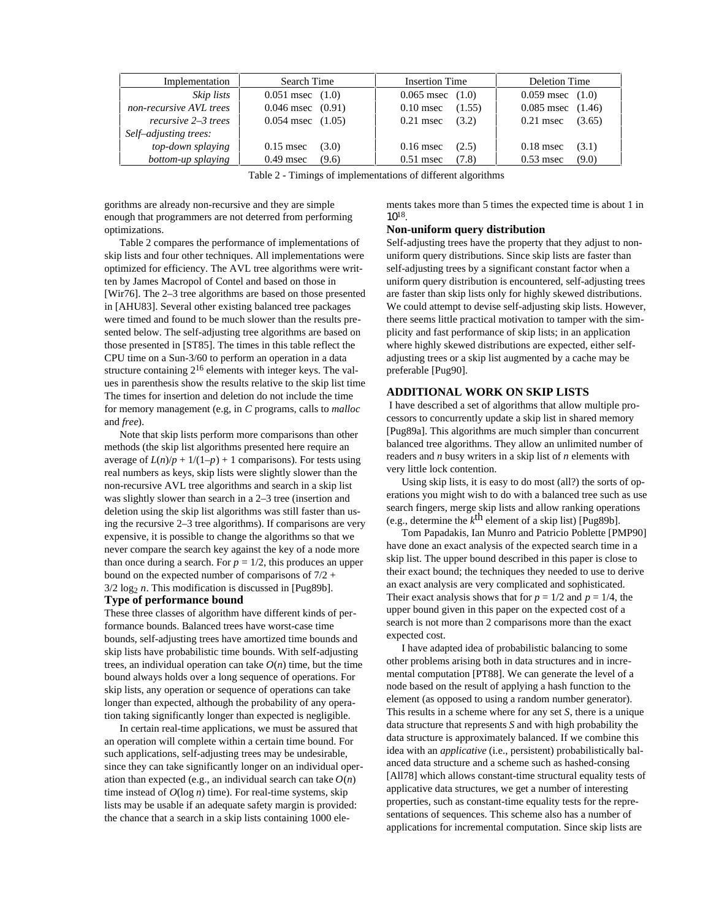| Implementation          | Search Time           | <b>Insertion Time</b> | Deletion Time         |
|-------------------------|-----------------------|-----------------------|-----------------------|
| Skip lists              | $0.051$ msec $(1.0)$  | $0.065$ msec $(1.0)$  | $0.059$ msec $(1.0)$  |
| non-recursive AVL trees | $0.046$ msec $(0.91)$ | $0.10$ msec<br>(1.55) | $0.085$ msec $(1.46)$ |
| recursive 2–3 trees     | $0.054$ msec $(1.05)$ | $0.21$ msec<br>(3.2)  | $0.21$ msec<br>(3.65) |
| Self–adjusting trees:   |                       |                       |                       |
| top-down splaying       | $0.15$ msec<br>(3.0)  | $0.16$ msec<br>(2.5)  | $0.18$ msec<br>(3.1)  |
| bottom-up splaying      | $0.49$ msec<br>(9.6)  | $0.51$ msec<br>(7.8)  | (9.0)<br>$0.53$ msec  |

Table 2 - Timings of implementations of different algorithms

gorithms are already non-recursive and they are simple enough that programmers are not deterred from performing optimizations.

Table 2 compares the performance of implementations of skip lists and four other techniques. All implementations were optimized for efficiency. The AVL tree algorithms were written by James Macropol of Contel and based on those in [Wir76]. The 2–3 tree algorithms are based on those presented in [AHU83]. Several other existing balanced tree packages were timed and found to be much slower than the results presented below. The self-adjusting tree algorithms are based on those presented in [ST85]. The times in this table reflect the CPU time on a Sun-3/60 to perform an operation in a data structure containing  $2^{16}$  elements with integer keys. The values in parenthesis show the results relative to the skip list time The times for insertion and deletion do not include the time for memory management (e.g, in *C* programs, calls to *malloc* and *free*).

Note that skip lists perform more comparisons than other methods (the skip list algorithms presented here require an average of  $L(n)/p + 1/(1-p) + 1$  comparisons). For tests using real numbers as keys, skip lists were slightly slower than the non-recursive AVL tree algorithms and search in a skip list was slightly slower than search in a 2–3 tree (insertion and deletion using the skip list algorithms was still faster than using the recursive 2–3 tree algorithms). If comparisons are very expensive, it is possible to change the algorithms so that we never compare the search key against the key of a node more than once during a search. For  $p = 1/2$ , this produces an upper bound on the expected number of comparisons of 7/2 +  $3/2 \log_2 n$ . This modification is discussed in [Pug89b].

#### **Type of performance bound**

These three classes of algorithm have different kinds of performance bounds. Balanced trees have worst-case time bounds, self-adjusting trees have amortized time bounds and skip lists have probabilistic time bounds. With self-adjusting trees, an individual operation can take  $O(n)$  time, but the time bound always holds over a long sequence of operations. For skip lists, any operation or sequence of operations can take longer than expected, although the probability of any operation taking significantly longer than expected is negligible.

In certain real-time applications, we must be assured that an operation will complete within a certain time bound. For such applications, self-adjusting trees may be undesirable, since they can take significantly longer on an individual operation than expected (e.g., an individual search can take *O*(*n*) time instead of *O*(log *n*) time). For real-time systems, skip lists may be usable if an adequate safety margin is provided: the chance that a search in a skip lists containing 1000 elements takes more than 5 times the expected time is about 1 in 1018.

#### **Non-uniform query distribution**

Self-adjusting trees have the property that they adjust to nonuniform query distributions. Since skip lists are faster than self-adjusting trees by a significant constant factor when a uniform query distribution is encountered, self-adjusting trees are faster than skip lists only for highly skewed distributions. We could attempt to devise self-adjusting skip lists. However, there seems little practical motivation to tamper with the simplicity and fast performance of skip lists; in an application where highly skewed distributions are expected, either selfadjusting trees or a skip list augmented by a cache may be preferable [Pug90].

#### **ADDITIONAL WORK ON SKIP LISTS**

 I have described a set of algorithms that allow multiple processors to concurrently update a skip list in shared memory [Pug89a]. This algorithms are much simpler than concurrent balanced tree algorithms. They allow an unlimited number of readers and *n* busy writers in a skip list of *n* elements with very little lock contention.

Using skip lists, it is easy to do most (all?) the sorts of operations you might wish to do with a balanced tree such as use search fingers, merge skip lists and allow ranking operations (e.g., determine the  $k^{\text{th}}$  element of a skip list) [Pug89b].

Tom Papadakis, Ian Munro and Patricio Poblette [PMP90] have done an exact analysis of the expected search time in a skip list. The upper bound described in this paper is close to their exact bound; the techniques they needed to use to derive an exact analysis are very complicated and sophisticated. Their exact analysis shows that for  $p = 1/2$  and  $p = 1/4$ , the upper bound given in this paper on the expected cost of a search is not more than 2 comparisons more than the exact expected cost.

I have adapted idea of probabilistic balancing to some other problems arising both in data structures and in incremental computation [PT88]. We can generate the level of a node based on the result of applying a hash function to the element (as opposed to using a random number generator). This results in a scheme where for any set *S*, there is a unique data structure that represents *S* and with high probability the data structure is approximately balanced. If we combine this idea with an *applicative* (i.e., persistent) probabilistically balanced data structure and a scheme such as hashed-consing [All78] which allows constant-time structural equality tests of applicative data structures, we get a number of interesting properties, such as constant-time equality tests for the representations of sequences. This scheme also has a number of applications for incremental computation. Since skip lists are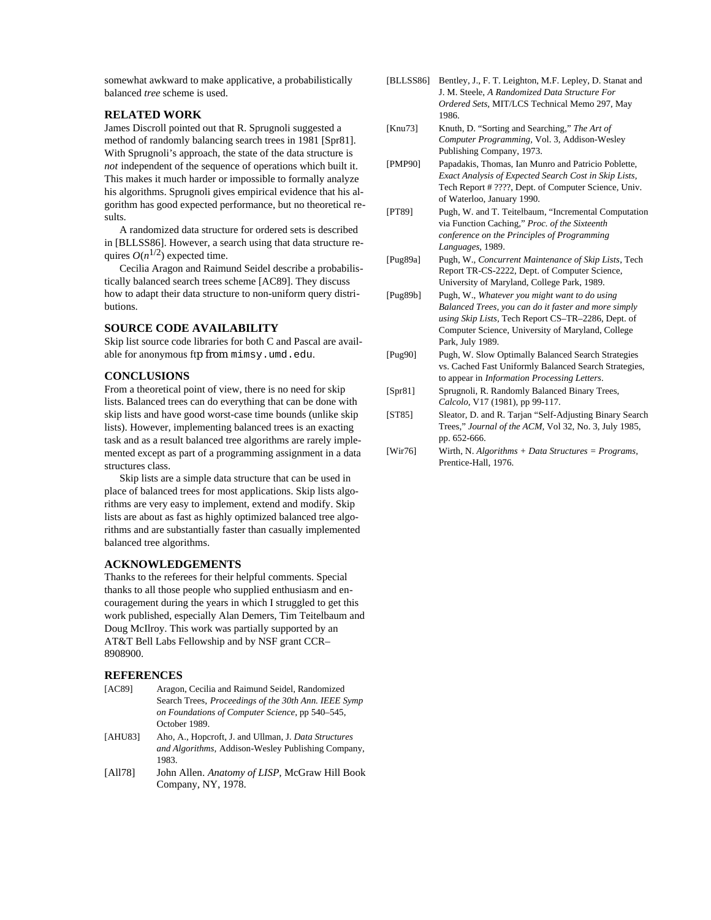somewhat awkward to make applicative, a probabilistically balanced *tree* scheme is used.

## **RELATED WORK**

James Discroll pointed out that R. Sprugnoli suggested a method of randomly balancing search trees in 1981 [Spr81]. With Sprugnoli's approach, the state of the data structure is *not* independent of the sequence of operations which built it. This makes it much harder or impossible to formally analyze his algorithms. Sprugnoli gives empirical evidence that his algorithm has good expected performance, but no theoretical results.

A randomized data structure for ordered sets is described in [BLLSS86]. However, a search using that data structure requires  $O(n^{1/2})$  expected time.

Cecilia Aragon and Raimund Seidel describe a probabilistically balanced search trees scheme [AC89]. They discuss how to adapt their data structure to non-uniform query distributions.

#### **SOURCE CODE AVAILABILITY**

Skip list source code libraries for both C and Pascal are available for anonymous ftp from mimsy.umd.edu.

#### **CONCLUSIONS**

From a theoretical point of view, there is no need for skip lists. Balanced trees can do everything that can be done with skip lists and have good worst-case time bounds (unlike skip lists). However, implementing balanced trees is an exacting task and as a result balanced tree algorithms are rarely implemented except as part of a programming assignment in a data structures class.

Skip lists are a simple data structure that can be used in place of balanced trees for most applications. Skip lists algorithms are very easy to implement, extend and modify. Skip lists are about as fast as highly optimized balanced tree algorithms and are substantially faster than casually implemented balanced tree algorithms.

#### **ACKNOWLEDGEMENTS**

Thanks to the referees for their helpful comments. Special thanks to all those people who supplied enthusiasm and encouragement during the years in which I struggled to get this work published, especially Alan Demers, Tim Teitelbaum and Doug McIlroy. This work was partially supported by an AT&T Bell Labs Fellowship and by NSF grant CCR– 8908900.

#### **REFERENCES**

- [AC89] Aragon, Cecilia and Raimund Seidel, Randomized Search Trees, *Proceedings of the 30th Ann. IEEE Symp on Foundations of Computer Science*, pp 540–545, October 1989.
- [AHU83] Aho, A., Hopcroft, J. and Ullman, J. *Data Structures and Algorithms,* Addison-Wesley Publishing Company, 1983.
- [All78] John Allen. *Anatomy of LISP,* McGraw Hill Book Company, NY, 1978.
- [BLLSS86] Bentley, J., F. T. Leighton, M.F. Lepley, D. Stanat and J. M. Steele, *A Randomized Data Structure For Ordered Sets,* MIT/LCS Technical Memo 297, May 1986.
- [Knu73] Knuth, D. "Sorting and Searching," *The Art of Computer Programming,* Vol. 3, Addison-Wesley Publishing Company, 1973.
- [PMP90] Papadakis, Thomas, Ian Munro and Patricio Poblette, *Exact Analysis of Expected Search Cost in Skip Lists,* Tech Report # ????, Dept. of Computer Science, Univ. of Waterloo, January 1990.
- [PT89] Pugh, W. and T. Teitelbaum, "Incremental Computation via Function Caching," *Proc. of the Sixteenth conference on the Principles of Programming Languages*, 1989.
- [Pug89a] Pugh, W., *Concurrent Maintenance of Skip Lists*, Tech Report TR-CS-2222, Dept. of Computer Science, University of Maryland, College Park, 1989.
- [Pug89b] Pugh, W., *Whatever you might want to do using Balanced Trees, you can do it faster and more simply using Skip Lists,* Tech Report CS–TR–2286, Dept. of Computer Science, University of Maryland, College Park, July 1989.
- [Pug90] Pugh, W. Slow Optimally Balanced Search Strategies vs. Cached Fast Uniformly Balanced Search Strategies, to appear in *Information Processing Letters*.
- [Spr81] Sprugnoli, R. Randomly Balanced Binary Trees, *Calcolo*, V17 (1981), pp 99-117.
- [ST85] Sleator, D. and R. Tarjan "Self-Adjusting Binary Search Trees," *Journal of the ACM,* Vol 32, No. 3, July 1985, pp. 652-666.
- [Wir76] Wirth, N. *Algorithms + Data Structures = Programs,* Prentice-Hall, 1976.